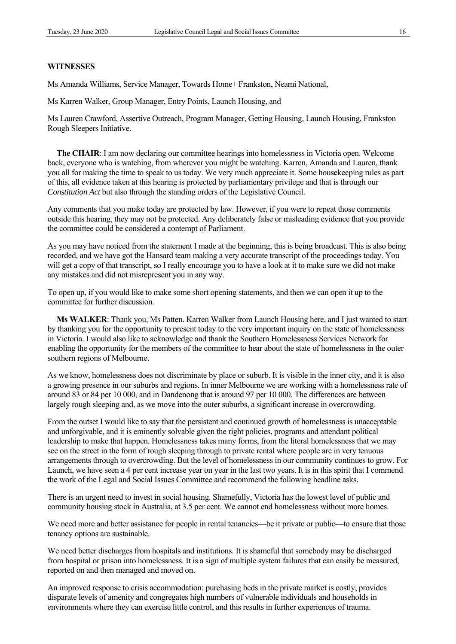## **WITNESSES**

Ms Amanda Williams, Service Manager, Towards Home+ Frankston, Neami National,

Ms Karren Walker, Group Manager, Entry Points, Launch Housing, and

Ms Lauren Crawford, Assertive Outreach, Program Manager, Getting Housing, Launch Housing, Frankston Rough Sleepers Initiative.

**The CHAIR**: I am now declaring our committee hearings into homelessness in Victoria open. Welcome back, everyone who is watching, from wherever you might be watching. Karren, Amanda and Lauren, thank you all for making the time to speak to us today. We very much appreciate it. Some housekeeping rules as part of this, all evidence taken at this hearing is protected by parliamentary privilege and that is through our *Constitution Act* but also through the standing orders of the Legislative Council.

Any comments that you make today are protected by law. However, if you were to repeat those comments outside this hearing, they may not be protected. Any deliberately false or misleading evidence that you provide the committee could be considered a contempt of Parliament.

As you may have noticed from the statement I made at the beginning, this is being broadcast. This is also being recorded, and we have got the Hansard team making a very accurate transcript of the proceedings today. You will get a copy of that transcript, so I really encourage you to have a look at it to make sure we did not make any mistakes and did not misrepresent you in any way.

To open up, if you would like to make some short opening statements, and then we can open it up to the committee for further discussion.

**Ms WALKER**: Thank you, Ms Patten. Karren Walker from Launch Housing here, and I just wanted to start by thanking you for the opportunity to present today to the very important inquiry on the state of homelessness in Victoria. I would also like to acknowledge and thank the Southern Homelessness Services Network for enabling the opportunity for the members of the committee to hear about the state of homelessness in the outer southern regions of Melbourne.

As we know, homelessness does not discriminate by place or suburb. It is visible in the inner city, and it is also a growing presence in our suburbs and regions. In inner Melbourne we are working with a homelessness rate of around 83 or 84 per 10 000, and in Dandenong that is around 97 per 10 000. The differences are between largely rough sleeping and, as we move into the outer suburbs, a significant increase in overcrowding.

From the outset I would like to say that the persistent and continued growth of homelessness is unacceptable and unforgivable, and it is eminently solvable given the right policies, programs and attendant political leadership to make that happen. Homelessness takes many forms, from the literal homelessness that we may see on the street in the form of rough sleeping through to private rental where people are in very tenuous arrangements through to overcrowding. But the level of homelessness in our community continues to grow. For Launch, we have seen a 4 per cent increase year on year in the last two years. It is in this spirit that I commend the work of the Legal and Social Issues Committee and recommend the following headline asks.

There is an urgent need to invest in social housing. Shamefully, Victoria has the lowest level of public and community housing stock in Australia, at 3.5 per cent. We cannot end homelessness without more homes.

We need more and better assistance for people in rental tenancies—be it private or public—to ensure that those tenancy options are sustainable.

We need better discharges from hospitals and institutions. It is shameful that somebody may be discharged from hospital or prison into homelessness. It is a sign of multiple system failures that can easily be measured, reported on and then managed and moved on.

An improved response to crisis accommodation: purchasing beds in the private market is costly, provides disparate levels of amenity and congregates high numbers of vulnerable individuals and households in environments where they can exercise little control, and this results in further experiences of trauma.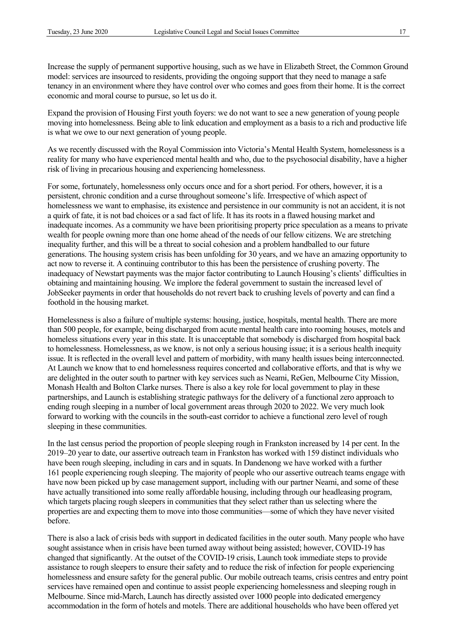Increase the supply of permanent supportive housing, such as we have in Elizabeth Street, the Common Ground model: services are insourced to residents, providing the ongoing support that they need to manage a safe tenancy in an environment where they have control over who comes and goes from their home. It is the correct economic and moral course to pursue, so let us do it.

Expand the provision of Housing First youth foyers: we do not want to see a new generation of young people moving into homelessness. Being able to link education and employment as a basis to a rich and productive life is what we owe to our next generation of young people.

As we recently discussed with the Royal Commission into Victoria's Mental Health System, homelessness is a reality for many who have experienced mental health and who, due to the psychosocial disability, have a higher risk of living in precarious housing and experiencing homelessness.

For some, fortunately, homelessness only occurs once and for a short period. For others, however, it is a persistent, chronic condition and a curse throughout someone's life. Irrespective of which aspect of homelessness we want to emphasise, its existence and persistence in our community is not an accident, it is not a quirk of fate, it is not bad choices or a sad fact of life. It has its roots in a flawed housing market and inadequate incomes. As a community we have been prioritising property price speculation as a means to private wealth for people owning more than one home ahead of the needs of our fellow citizens. We are stretching inequality further, and this will be a threat to social cohesion and a problem handballed to our future generations. The housing system crisis has been unfolding for 30 years, and we have an amazing opportunity to act now to reverse it. A continuing contributor to this has been the persistence of crushing poverty. The inadequacy of Newstart payments was the major factor contributing to Launch Housing's clients' difficulties in obtaining and maintaining housing. We implore the federal government to sustain the increased level of JobSeeker payments in order that households do not revert back to crushing levels of poverty and can find a foothold in the housing market.

Homelessness is also a failure of multiple systems: housing, justice, hospitals, mental health. There are more than 500 people, for example, being discharged from acute mental health care into rooming houses, motels and homeless situations every year in this state. It is unacceptable that somebody is discharged from hospital back to homelessness. Homelessness, as we know, is not only a serious housing issue; it is a serious health inequity issue. It is reflected in the overall level and pattern of morbidity, with many health issues being interconnected. At Launch we know that to end homelessness requires concerted and collaborative efforts, and that is why we are delighted in the outer south to partner with key services such as Neami, ReGen, Melbourne City Mission, Monash Health and Bolton Clarke nurses. There is also a key role for local government to play in these partnerships, and Launch is establishing strategic pathways for the delivery of a functional zero approach to ending rough sleeping in a number of local government areas through 2020 to 2022. We very much look forward to working with the councils in the south-east corridor to achieve a functional zero level of rough sleeping in these communities.

In the last census period the proportion of people sleeping rough in Frankston increased by 14 per cent. In the 2019–20 year to date, our assertive outreach team in Frankston has worked with 159 distinct individuals who have been rough sleeping, including in cars and in squats. In Dandenong we have worked with a further 161 people experiencing rough sleeping. The majority of people who our assertive outreach teams engage with have now been picked up by case management support, including with our partner Neami, and some of these have actually transitioned into some really affordable housing, including through our headleasing program, which targets placing rough sleepers in communities that they select rather than us selecting where the properties are and expecting them to move into those communities—some of which they have never visited before.

There is also a lack of crisis beds with support in dedicated facilities in the outer south. Many people who have sought assistance when in crisis have been turned away without being assisted; however, COVID-19 has changed that significantly. At the outset of the COVID-19 crisis, Launch took immediate steps to provide assistance to rough sleepers to ensure their safety and to reduce the risk of infection for people experiencing homelessness and ensure safety for the general public. Our mobile outreach teams, crisis centres and entry point services have remained open and continue to assist people experiencing homelessness and sleeping rough in Melbourne. Since mid-March, Launch has directly assisted over 1000 people into dedicated emergency accommodation in the form of hotels and motels. There are additional households who have been offered yet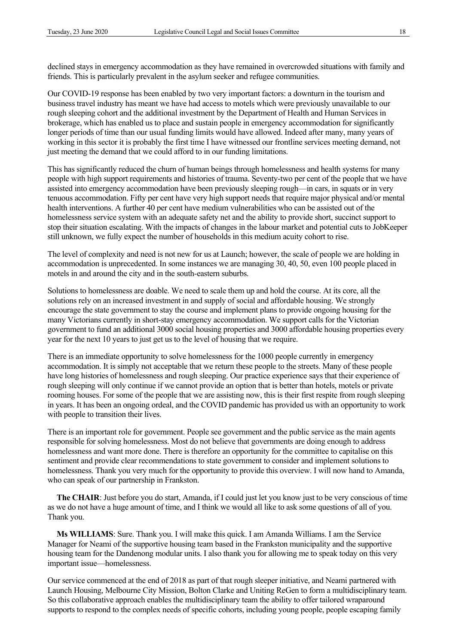declined stays in emergency accommodation as they have remained in overcrowded situations with family and friends. This is particularly prevalent in the asylum seeker and refugee communities.

Our COVID-19 response has been enabled by two very important factors: a downturn in the tourism and business travel industry has meant we have had access to motels which were previously unavailable to our rough sleeping cohort and the additional investment by the Department of Health and Human Services in brokerage, which has enabled us to place and sustain people in emergency accommodation for significantly longer periods of time than our usual funding limits would have allowed. Indeed after many, many years of working in this sector it is probably the first time I have witnessed our frontline services meeting demand, not just meeting the demand that we could afford to in our funding limitations.

This has significantly reduced the churn of human beings through homelessness and health systems for many people with high support requirements and histories of trauma. Seventy-two per cent of the people that we have assisted into emergency accommodation have been previously sleeping rough—in cars, in squats or in very tenuous accommodation. Fifty per cent have very high support needs that require major physical and/or mental health interventions. A further 40 per cent have medium vulnerabilities who can be assisted out of the homelessness service system with an adequate safety net and the ability to provide short, succinct support to stop their situation escalating. With the impacts of changes in the labour market and potential cuts to JobKeeper still unknown, we fully expect the number of households in this medium acuity cohort to rise.

The level of complexity and need is not new for us at Launch; however, the scale of people we are holding in accommodation is unprecedented. In some instances we are managing 30, 40, 50, even 100 people placed in motels in and around the city and in the south-eastern suburbs.

Solutions to homelessness are doable. We need to scale them up and hold the course. At its core, all the solutions rely on an increased investment in and supply of social and affordable housing. We strongly encourage the state government to stay the course and implement plans to provide ongoing housing for the many Victorians currently in short-stay emergency accommodation. We support calls for the Victorian government to fund an additional 3000 social housing properties and 3000 affordable housing properties every year for the next 10 years to just get us to the level of housing that we require.

There is an immediate opportunity to solve homelessness for the 1000 people currently in emergency accommodation. It is simply not acceptable that we return these people to the streets. Many of these people have long histories of homelessness and rough sleeping. Our practice experience says that their experience of rough sleeping will only continue if we cannot provide an option that is better than hotels, motels or private rooming houses. For some of the people that we are assisting now, this is their first respite from rough sleeping in years. It has been an ongoing ordeal, and the COVID pandemic has provided us with an opportunity to work with people to transition their lives.

There is an important role for government. People see government and the public service as the main agents responsible for solving homelessness. Most do not believe that governments are doing enough to address homelessness and want more done. There is therefore an opportunity for the committee to capitalise on this sentiment and provide clear recommendations to state government to consider and implement solutions to homelessness. Thank you very much for the opportunity to provide this overview. I will now hand to Amanda, who can speak of our partnership in Frankston.

**The CHAIR**: Just before you do start, Amanda, if I could just let you know just to be very conscious of time as we do not have a huge amount of time, and I think we would all like to ask some questions of all of you. Thank you.

**Ms WILLIAMS**: Sure. Thank you. I will make this quick. I am Amanda Williams. I am the Service Manager for Neami of the supportive housing team based in the Frankston municipality and the supportive housing team for the Dandenong modular units. I also thank you for allowing me to speak today on this very important issue—homelessness.

Our service commenced at the end of 2018 as part of that rough sleeper initiative, and Neami partnered with Launch Housing, Melbourne City Mission, Bolton Clarke and Uniting ReGen to form a multidisciplinary team. So this collaborative approach enables the multidisciplinary team the ability to offer tailored wraparound supports to respond to the complex needs of specific cohorts, including young people, people escaping family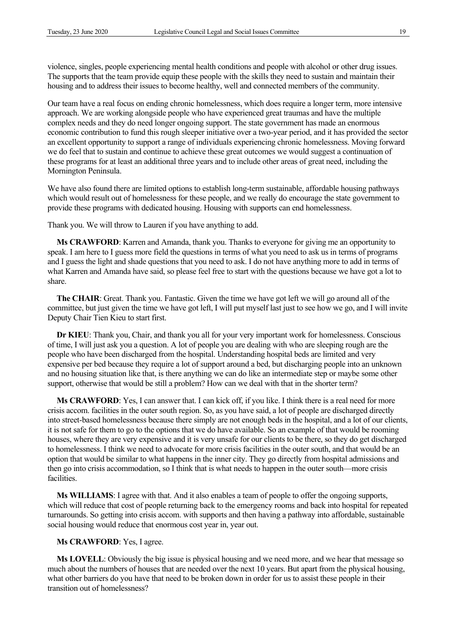violence, singles, people experiencing mental health conditions and people with alcohol or other drug issues. The supports that the team provide equip these people with the skills they need to sustain and maintain their housing and to address their issues to become healthy, well and connected members of the community.

Our team have a real focus on ending chronic homelessness, which does require a longer term, more intensive approach. We are working alongside people who have experienced great traumas and have the multiple complex needs and they do need longer ongoing support. The state government has made an enormous economic contribution to fund this rough sleeper initiative over a two-year period, and it has provided the sector an excellent opportunity to support a range of individuals experiencing chronic homelessness. Moving forward we do feel that to sustain and continue to achieve these great outcomes we would suggest a continuation of these programs for at least an additional three years and to include other areas of great need, including the Mornington Peninsula.

We have also found there are limited options to establish long-term sustainable, affordable housing pathways which would result out of homelessness for these people, and we really do encourage the state government to provide these programs with dedicated housing. Housing with supports can end homelessness.

Thank you. We will throw to Lauren if you have anything to add.

**Ms CRAWFORD**: Karren and Amanda, thank you. Thanks to everyone for giving me an opportunity to speak. I am here to I guess more field the questions in terms of what you need to ask us in terms of programs and I guess the light and shade questions that you need to ask. I do not have anything more to add in terms of what Karren and Amanda have said, so please feel free to start with the questions because we have got a lot to share.

**The CHAIR**: Great. Thank you. Fantastic. Given the time we have got left we will go around all of the committee, but just given the time we have got left, I will put myself last just to see how we go, and I will invite Deputy Chair Tien Kieu to start first.

**Dr KIEU**: Thank you, Chair, and thank you all for your very important work for homelessness. Conscious of time, I will just ask you a question. A lot of people you are dealing with who are sleeping rough are the people who have been discharged from the hospital. Understanding hospital beds are limited and very expensive per bed because they require a lot of support around a bed, but discharging people into an unknown and no housing situation like that, is there anything we can do like an intermediate step or maybe some other support, otherwise that would be still a problem? How can we deal with that in the shorter term?

**Ms CRAWFORD**: Yes, I can answer that. I can kick off, if you like. I think there is a real need for more crisis accom. facilities in the outer south region. So, as you have said, a lot of people are discharged directly into street-based homelessness because there simply are not enough beds in the hospital, and a lot of our clients, it is not safe for them to go to the options that we do have available. So an example of that would be rooming houses, where they are very expensive and it is very unsafe for our clients to be there, so they do get discharged to homelessness. I think we need to advocate for more crisis facilities in the outer south, and that would be an option that would be similar to what happens in the inner city. They go directly from hospital admissions and then go into crisis accommodation, so I think that is what needs to happen in the outer south—more crisis facilities.

**Ms WILLIAMS**: I agree with that. And it also enables a team of people to offer the ongoing supports, which will reduce that cost of people returning back to the emergency rooms and back into hospital for repeated turnarounds. So getting into crisis accom. with supports and then having a pathway into affordable, sustainable social housing would reduce that enormous cost year in, year out.

## **Ms CRAWFORD**: Yes, I agree.

**Ms LOVELL**: Obviously the big issue is physical housing and we need more, and we hear that message so much about the numbers of houses that are needed over the next 10 years. But apart from the physical housing, what other barriers do you have that need to be broken down in order for us to assist these people in their transition out of homelessness?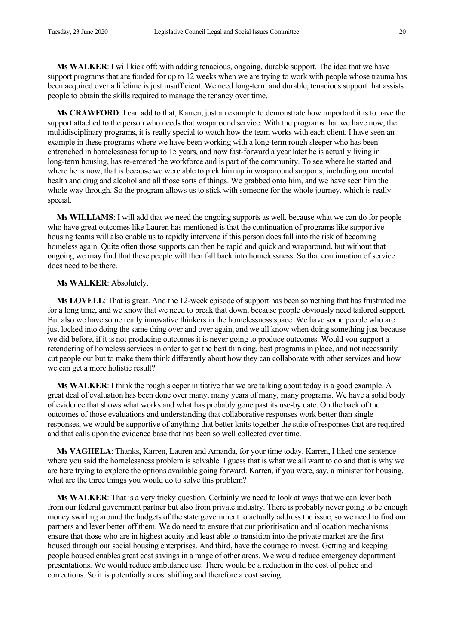**Ms WALKER**: I will kick off: with adding tenacious, ongoing, durable support. The idea that we have support programs that are funded for up to 12 weeks when we are trying to work with people whose trauma has been acquired over a lifetime is just insufficient. We need long-term and durable, tenacious support that assists people to obtain the skills required to manage the tenancy over time.

**Ms CRAWFORD**: I can add to that, Karren, just an example to demonstrate how important it is to have the support attached to the person who needs that wraparound service. With the programs that we have now, the multidisciplinary programs, it is really special to watch how the team works with each client. I have seen an example in these programs where we have been working with a long-term rough sleeper who has been entrenched in homelessness for up to 15 years, and now fast-forward a year later he is actually living in long-term housing, has re-entered the workforce and is part of the community. To see where he started and where he is now, that is because we were able to pick him up in wraparound supports, including our mental health and drug and alcohol and all those sorts of things. We grabbed onto him, and we have seen him the whole way through. So the program allows us to stick with someone for the whole journey, which is really special.

**Ms WILLIAMS**: I will add that we need the ongoing supports as well, because what we can do for people who have great outcomes like Lauren has mentioned is that the continuation of programs like supportive housing teams will also enable us to rapidly intervene if this person does fall into the risk of becoming homeless again. Quite often those supports can then be rapid and quick and wraparound, but without that ongoing we may find that these people will then fall back into homelessness. So that continuation of service does need to be there.

## **Ms WALKER**: Absolutely.

**Ms LOVELL**: That is great. And the 12-week episode of support has been something that has frustrated me for a long time, and we know that we need to break that down, because people obviously need tailored support. But also we have some really innovative thinkers in the homelessness space. We have some people who are just locked into doing the same thing over and over again, and we all know when doing something just because we did before, if it is not producing outcomes it is never going to produce outcomes. Would you support a retendering of homeless services in order to get the best thinking, best programs in place, and not necessarily cut people out but to make them think differently about how they can collaborate with other services and how we can get a more holistic result?

**Ms WALKER**: I think the rough sleeper initiative that we are talking about today is a good example. A great deal of evaluation has been done over many, many years of many, many programs. We have a solid body of evidence that shows what works and what has probably gone past its use-by date. On the back of the outcomes of those evaluations and understanding that collaborative responses work better than single responses, we would be supportive of anything that better knits together the suite of responses that are required and that calls upon the evidence base that has been so well collected over time.

**Ms VAGHELA**: Thanks, Karren, Lauren and Amanda, for your time today. Karren, I liked one sentence where you said the homelessness problem is solvable. I guess that is what we all want to do and that is why we are here trying to explore the options available going forward. Karren, if you were, say, a minister for housing, what are the three things you would do to solve this problem?

**Ms WALKER**: That is a very tricky question. Certainly we need to look at ways that we can lever both from our federal government partner but also from private industry. There is probably never going to be enough money swirling around the budgets of the state government to actually address the issue, so we need to find our partners and lever better off them. We do need to ensure that our prioritisation and allocation mechanisms ensure that those who are in highest acuity and least able to transition into the private market are the first housed through our social housing enterprises. And third, have the courage to invest. Getting and keeping people housed enables great cost savings in a range of other areas. We would reduce emergency department presentations. We would reduce ambulance use. There would be a reduction in the cost of police and corrections. So it is potentially a cost shifting and therefore a cost saving.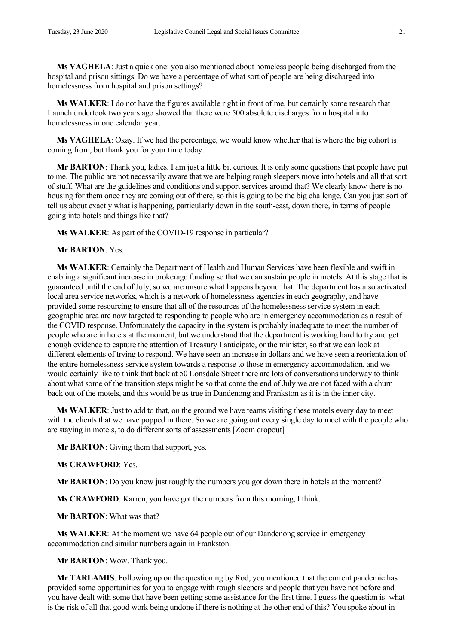**Ms VAGHELA**: Just a quick one: you also mentioned about homeless people being discharged from the hospital and prison sittings. Do we have a percentage of what sort of people are being discharged into homelessness from hospital and prison settings?

**Ms WALKER**: I do not have the figures available right in front of me, but certainly some research that Launch undertook two years ago showed that there were 500 absolute discharges from hospital into homelessness in one calendar year.

**Ms VAGHELA**: Okay. If we had the percentage, we would know whether that is where the big cohort is coming from, but thank you for your time today.

**Mr BARTON**: Thank you, ladies. I am just a little bit curious. It is only some questions that people have put to me. The public are not necessarily aware that we are helping rough sleepers move into hotels and all that sort of stuff. What are the guidelines and conditions and support services around that? We clearly know there is no housing for them once they are coming out of there, so this is going to be the big challenge. Can you just sort of tell us about exactly what is happening, particularly down in the south-east, down there, in terms of people going into hotels and things like that?

**Ms WALKER**: As part of the COVID-19 response in particular?

**Mr BARTON**: Yes.

**Ms WALKER**: Certainly the Department of Health and Human Services have been flexible and swift in enabling a significant increase in brokerage funding so that we can sustain people in motels. At this stage that is guaranteed until the end of July, so we are unsure what happens beyond that. The department has also activated local area service networks, which is a network of homelessness agencies in each geography, and have provided some resourcing to ensure that all of the resources of the homelessness service system in each geographic area are now targeted to responding to people who are in emergency accommodation as a result of the COVID response. Unfortunately the capacity in the system is probably inadequate to meet the number of people who are in hotels at the moment, but we understand that the department is working hard to try and get enough evidence to capture the attention of Treasury I anticipate, or the minister, so that we can look at different elements of trying to respond. We have seen an increase in dollars and we have seen a reorientation of the entire homelessness service system towards a response to those in emergency accommodation, and we would certainly like to think that back at 50 Lonsdale Street there are lots of conversations underway to think about what some of the transition steps might be so that come the end of July we are not faced with a churn back out of the motels, and this would be as true in Dandenong and Frankston as it is in the inner city.

**Ms WALKER**: Just to add to that, on the ground we have teams visiting these motels every day to meet with the clients that we have popped in there. So we are going out every single day to meet with the people who are staying in motels, to do different sorts of assessments [Zoom dropout]

**Mr BARTON**: Giving them that support, yes.

**Ms CRAWFORD**: Yes.

**Mr BARTON**: Do you know just roughly the numbers you got down there in hotels at the moment?

**Ms CRAWFORD**: Karren, you have got the numbers from this morning, I think.

**Mr BARTON**: What was that?

**Ms WALKER**: At the moment we have 64 people out of our Dandenong service in emergency accommodation and similar numbers again in Frankston.

**Mr BARTON**: Wow. Thank you.

**Mr TARLAMIS**: Following up on the questioning by Rod, you mentioned that the current pandemic has provided some opportunities for you to engage with rough sleepers and people that you have not before and you have dealt with some that have been getting some assistance for the first time. I guess the question is: what is the risk of all that good work being undone if there is nothing at the other end of this? You spoke about in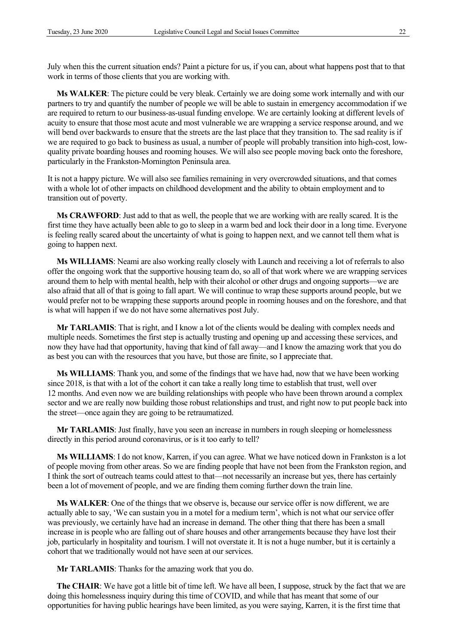July when this the current situation ends? Paint a picture for us, if you can, about what happens post that to that work in terms of those clients that you are working with.

**Ms WALKER**: The picture could be very bleak. Certainly we are doing some work internally and with our partners to try and quantify the number of people we will be able to sustain in emergency accommodation if we are required to return to our business-as-usual funding envelope. We are certainly looking at different levels of acuity to ensure that those most acute and most vulnerable we are wrapping a service response around, and we will bend over backwards to ensure that the streets are the last place that they transition to. The sad reality is if we are required to go back to business as usual, a number of people will probably transition into high-cost, lowquality private boarding houses and rooming houses. We will also see people moving back onto the foreshore, particularly in the Frankston-Mornington Peninsula area.

It is not a happy picture. We will also see families remaining in very overcrowded situations, and that comes with a whole lot of other impacts on childhood development and the ability to obtain employment and to transition out of poverty.

**Ms CRAWFORD**: Just add to that as well, the people that we are working with are really scared. It is the first time they have actually been able to go to sleep in a warm bed and lock their door in a long time. Everyone is feeling really scared about the uncertainty of what is going to happen next, and we cannot tell them what is going to happen next.

**Ms WILLIAMS**: Neami are also working really closely with Launch and receiving a lot of referrals to also offer the ongoing work that the supportive housing team do, so all of that work where we are wrapping services around them to help with mental health, help with their alcohol or other drugs and ongoing supports—we are also afraid that all of that is going to fall apart. We will continue to wrap these supports around people, but we would prefer not to be wrapping these supports around people in rooming houses and on the foreshore, and that is what will happen if we do not have some alternatives post July.

**Mr TARLAMIS**: That is right, and I know a lot of the clients would be dealing with complex needs and multiple needs. Sometimes the first step is actually trusting and opening up and accessing these services, and now they have had that opportunity, having that kind of fall away—and I know the amazing work that you do as best you can with the resources that you have, but those are finite, so I appreciate that.

**Ms WILLIAMS**: Thank you, and some of the findings that we have had, now that we have been working since 2018, is that with a lot of the cohort it can take a really long time to establish that trust, well over 12 months. And even now we are building relationships with people who have been thrown around a complex sector and we are really now building those robust relationships and trust, and right now to put people back into the street—once again they are going to be retraumatized.

**Mr TARLAMIS**: Just finally, have you seen an increase in numbers in rough sleeping or homelessness directly in this period around coronavirus, or is it too early to tell?

**Ms WILLIAMS**: I do not know, Karren, if you can agree. What we have noticed down in Frankston is a lot of people moving from other areas. So we are finding people that have not been from the Frankston region, and I think the sort of outreach teams could attest to that—not necessarily an increase but yes, there has certainly been a lot of movement of people, and we are finding them coming further down the train line.

**Ms WALKER**: One of the things that we observe is, because our service offer is now different, we are actually able to say, 'We can sustain you in a motel for a medium term', which is not what our service offer was previously, we certainly have had an increase in demand. The other thing that there has been a small increase in is people who are falling out of share houses and other arrangements because they have lost their job, particularly in hospitality and tourism. I will not overstate it. It is not a huge number, but it is certainly a cohort that we traditionally would not have seen at our services.

**Mr TARLAMIS**: Thanks for the amazing work that you do.

**The CHAIR**: We have got a little bit of time left. We have all been, I suppose, struck by the fact that we are doing this homelessness inquiry during this time of COVID, and while that has meant that some of our opportunities for having public hearings have been limited, as you were saying, Karren, it is the first time that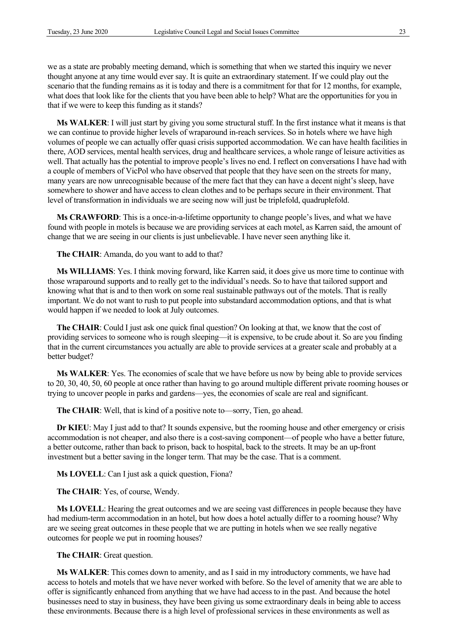we as a state are probably meeting demand, which is something that when we started this inquiry we never thought anyone at any time would ever say. It is quite an extraordinary statement. If we could play out the scenario that the funding remains as it is today and there is a commitment for that for 12 months, for example, what does that look like for the clients that you have been able to help? What are the opportunities for you in that if we were to keep this funding as it stands?

**Ms WALKER**: I will just start by giving you some structural stuff. In the first instance what it means is that we can continue to provide higher levels of wraparound in-reach services. So in hotels where we have high volumes of people we can actually offer quasi crisis supported accommodation. We can have health facilities in there, AOD services, mental health services, drug and healthcare services, a whole range of leisure activities as well. That actually has the potential to improve people's lives no end. I reflect on conversations I have had with a couple of members of VicPol who have observed that people that they have seen on the streets for many, many years are now unrecognisable because of the mere fact that they can have a decent night's sleep, have somewhere to shower and have access to clean clothes and to be perhaps secure in their environment. That level of transformation in individuals we are seeing now will just be triplefold, quadruplefold.

**Ms CRAWFORD**: This is a once-in-a-lifetime opportunity to change people's lives, and what we have found with people in motels is because we are providing services at each motel, as Karren said, the amount of change that we are seeing in our clients is just unbelievable. I have never seen anything like it.

**The CHAIR**: Amanda, do you want to add to that?

**Ms WILLIAMS**: Yes. I think moving forward, like Karren said, it does give us more time to continue with those wraparound supports and to really get to the individual's needs. So to have that tailored support and knowing what that is and to then work on some real sustainable pathways out of the motels. That is really important. We do not want to rush to put people into substandard accommodation options, and that is what would happen if we needed to look at July outcomes.

**The CHAIR**: Could I just ask one quick final question? On looking at that, we know that the cost of providing services to someone who is rough sleeping—it is expensive, to be crude about it. So are you finding that in the current circumstances you actually are able to provide services at a greater scale and probably at a better budget?

**Ms WALKER**: Yes. The economies of scale that we have before us now by being able to provide services to 20, 30, 40, 50, 60 people at once rather than having to go around multiple different private rooming houses or trying to uncover people in parks and gardens—yes, the economies of scale are real and significant.

**The CHAIR**: Well, that is kind of a positive note to—sorry, Tien, go ahead.

**Dr KIEU**: May I just add to that? It sounds expensive, but the rooming house and other emergency or crisis accommodation is not cheaper, and also there is a cost-saving component—of people who have a better future, a better outcome, rather than back to prison, back to hospital, back to the streets. It may be an up-front investment but a better saving in the longer term. That may be the case. That is a comment.

**Ms LOVELL**: Can I just ask a quick question, Fiona?

**The CHAIR**: Yes, of course, Wendy.

**Ms LOVELL**: Hearing the great outcomes and we are seeing vast differences in people because they have had medium-term accommodation in an hotel, but how does a hotel actually differ to a rooming house? Why are we seeing great outcomes in these people that we are putting in hotels when we see really negative outcomes for people we put in rooming houses?

**The CHAIR**: Great question.

**Ms WALKER**: This comes down to amenity, and as I said in my introductory comments, we have had access to hotels and motels that we have never worked with before. So the level of amenity that we are able to offer is significantly enhanced from anything that we have had access to in the past. And because the hotel businesses need to stay in business, they have been giving us some extraordinary deals in being able to access these environments. Because there is a high level of professional services in these environments as well as